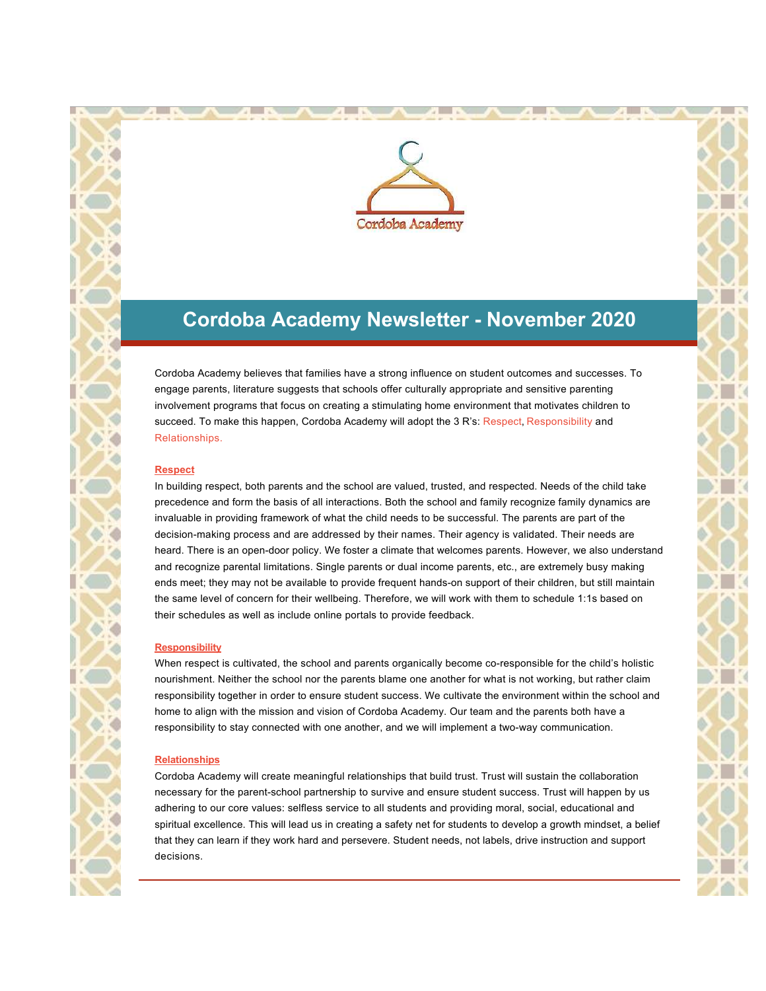

## **Cordoba Academy Newsletter - November 2020**

Cordoba Academy believes that families have a strong influence on student outcomes and successes. To engage parents, literature suggests that schools offer culturally appropriate and sensitive parenting involvement programs that focus on creating a stimulating home environment that motivates children to succeed. To make this happen, Cordoba Academy will adopt the 3 R's: Respect, Responsibility and Relationships.

#### **Respect**

In building respect, both parents and the school are valued, trusted, and respected. Needs of the child take precedence and form the basis of all interactions. Both the school and family recognize family dynamics are invaluable in providing framework of what the child needs to be successful. The parents are part of the decision-making process and are addressed by their names. Their agency is validated. Their needs are heard. There is an open-door policy. We foster a climate that welcomes parents. However, we also understand and recognize parental limitations. Single parents or dual income parents, etc., are extremely busy making ends meet; they may not be available to provide frequent hands-on support of their children, but still maintain the same level of concern for their wellbeing. Therefore, we will work with them to schedule 1:1s based on their schedules as well as include online portals to provide feedback.

#### **Responsibility**

When respect is cultivated, the school and parents organically become co-responsible for the child's holistic nourishment. Neither the school nor the parents blame one another for what is not working, but rather claim responsibility together in order to ensure student success. We cultivate the environment within the school and home to align with the mission and vision of Cordoba Academy. Our team and the parents both have a responsibility to stay connected with one another, and we will implement a two-way communication.

#### **Relationships**

Cordoba Academy will create meaningful relationships that build trust. Trust will sustain the collaboration necessary for the parent-school partnership to survive and ensure student success. Trust will happen by us adhering to our core values: selfless service to all students and providing moral, social, educational and spiritual excellence. This will lead us in creating a safety net for students to develop a growth mindset, a belief that they can learn if they work hard and persevere. Student needs, not labels, drive instruction and support decisions.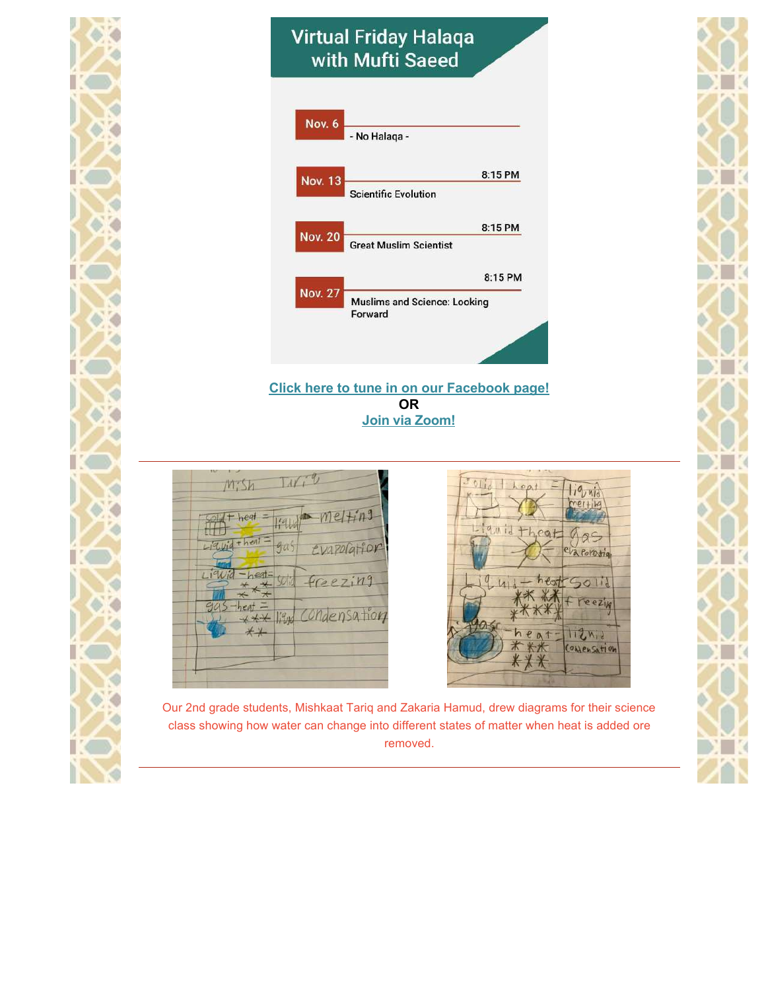# **Virtual Friday Halaqa** with Mufti Saeed



### **[Click here to tune in on our Facebook page!](http://r20.rs6.net/tn.jsp?f=001vk2_UP7YB65kOnMrnOHCPfNew-LDHJlsZoZO5E9KB0V7NDX6QctGpZgSSlEB_1m96jC2Aj3j79ZfNSTzO-j3lojcS9iG2XuoxkdXbAjkEMSFT78K7nOO8cBQyA0w3EayXGy4NsFxRtdw1daW1-KCrH6xTjCLAAMgNcY5T0KrumjB0AvxpLp1jLEq5q_XCBo97I_ANZACxg0=&c=4liweduAU24UQOEF48BFyWuolJCQsrNgBLRiItYL1bszCySCSzuSzA==&ch=BPTXJg0hh6mfkqDAS-86R1Gd4PzFmTJEqwD5XwdeSGraRmWVu3l0dA==) OR [Join via Zoom!](http://r20.rs6.net/tn.jsp?f=001vk2_UP7YB65kOnMrnOHCPfNew-LDHJlsZoZO5E9KB0V7NDX6QctGpWLcQeSweLCcrr0tLkoiLBXjxQJOwsFT6nipBnRol0R1SnKXzL-x-kkaSqkEZoEZXR8Jb2JpwG7RrlvbNTtRUBZ1LTlFqapcJ5ZuPLnM34Su&c=4liweduAU24UQOEF48BFyWuolJCQsrNgBLRiItYL1bszCySCSzuSzA==&ch=BPTXJg0hh6mfkqDAS-86R1Gd4PzFmTJEqwD5XwdeSGraRmWVu3l0dA==)**





Our 2nd grade students, Mishkaat Tariq and Zakaria Hamud, drew diagrams for their science class showing how water can change into different states of matter when heat is added ore removed.